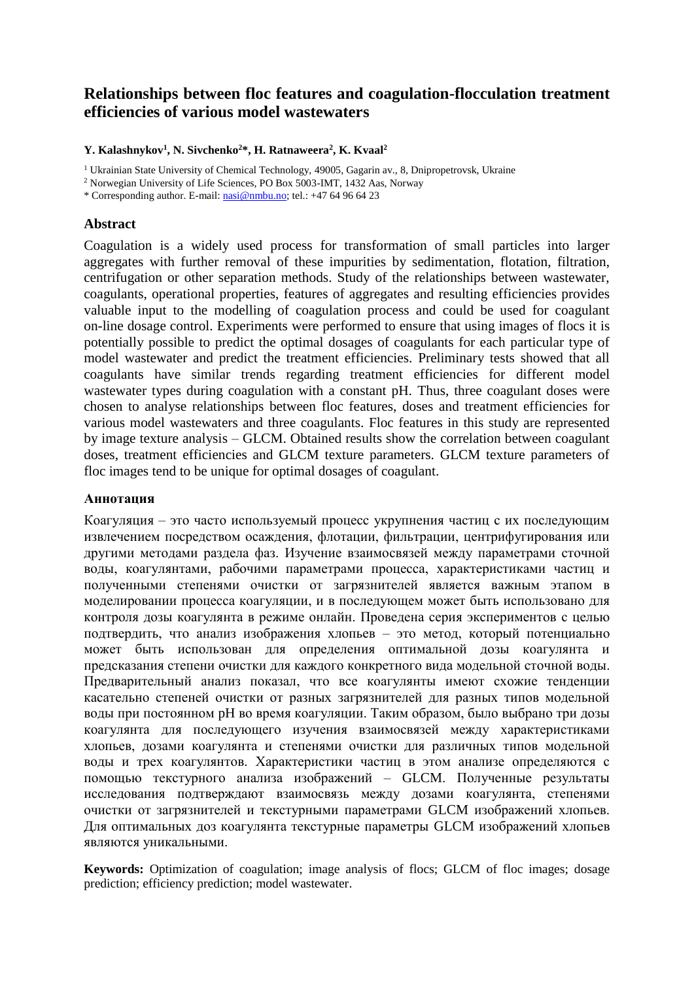# **Relationships between floc features and coagulation-flocculation treatment efficiencies of various model wastewaters**

**Y. Kalashnykov<sup>1</sup> , N. Sivchenko<sup>2</sup>\*, H. Ratnaweera<sup>2</sup> , K. Kvaal<sup>2</sup>**

<sup>1</sup> Ukrainian State University of Chemical Technology, 49005, Gagarin av., 8, Dnipropetrovsk, Ukraine

<sup>2</sup> Norwegian University of Life Sciences, PO Box 5003-IMT, 1432 Aas, Norway

\* Corresponding author. E-mail: [nasi@nmbu.no;](mailto:nasi@nmbu.no) tel.: +47 64 96 64 23

## **Abstract**

Coagulation is a widely used process for transformation of small particles into larger aggregates with further removal of these impurities by sedimentation, flotation, filtration, centrifugation or other separation methods. Study of the relationships between wastewater, coagulants, operational properties, features of aggregates and resulting efficiencies provides valuable input to the modelling of coagulation process and could be used for coagulant on-line dosage control. Experiments were performed to ensure that using images of flocs it is potentially possible to predict the optimal dosages of coagulants for each particular type of model wastewater and predict the treatment efficiencies. Preliminary tests showed that all coagulants have similar trends regarding treatment efficiencies for different model wastewater types during coagulation with a constant pH. Thus, three coagulant doses were chosen to analyse relationships between floc features, doses and treatment efficiencies for various model wastewaters and three coagulants. Floc features in this study are represented by image texture analysis – GLCM. Obtained results show the correlation between coagulant doses, treatment efficiencies and GLCM texture parameters. GLCM texture parameters of floc images tend to be unique for optimal dosages of coagulant.

# **Аннотация**

Коагуляция – это часто используемый процесс укрупнения частиц с их последующим извлечением посредством осаждения, флотации, фильтрации, центрифугирования или другими методами раздела фаз. Изучение взаимосвязей между параметрами сточной воды, коагулянтами, рабочими параметрами процесса, характеристиками частиц и полученными степенями очистки от загрязнителей является важным этапом в моделировании процесса коагуляции, и в последующем может быть использовано для контроля дозы коагулянта в режиме онлайн. Проведена серия экспериментов с целью подтвердить, что анализ изображения хлопьев – это метод, который потенциально может быть использован для определения оптимальной дозы коагулянта и предсказания степени очистки для каждого конкретного вида модельной сточной воды. Предварительный анализ показал, что все коагулянты имеют схожие тенденции касательно степеней очистки от разных загрязнителей для разных типов модельной воды при постоянном pH во время коагуляции. Таким образом, было выбрано три дозы коагулянта для последующего изучения взаимосвязей между характеристиками хлопьев, дозами коагулянта и степенями очистки для различных типов модельной воды и трех коагулянтов. Характеристики частиц в этом анализе определяются с помощью текстурного анализа изображений – GLCM. Полученные результаты исследования подтверждают взаимосвязь между дозами коагулянта, степенями очистки от загрязнителей и текстурными параметрами GLCM изображений хлопьев. Для оптимальных доз коагулянта текстурные параметры GLCM изображений хлопьев являются уникальными.

**Keywords:** Optimization of coagulation; image analysis of flocs; GLCM of floc images; dosage prediction; efficiency prediction; model wastewater.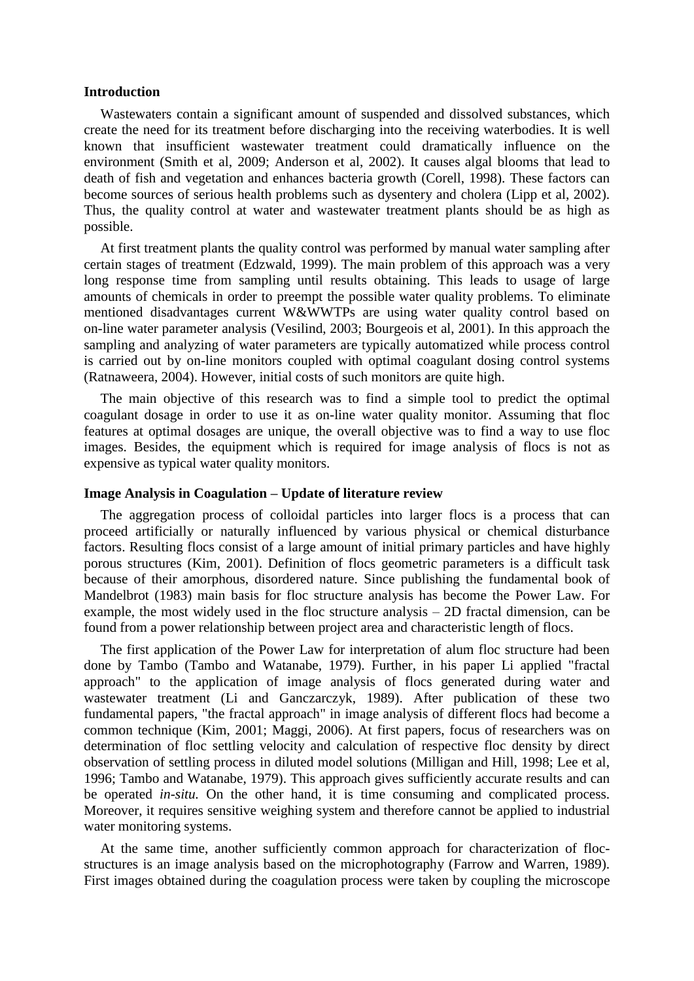### **Introduction**

Wastewaters contain a significant amount of suspended and dissolved substances, which create the need for its treatment before discharging into the receiving waterbodies. It is well known that insufficient wastewater treatment could dramatically influence on the environment (Smith et al, 2009; Anderson et al, 2002). It causes algal blooms that lead to death of fish and vegetation and enhances bacteria growth (Corell, 1998). These factors can become sources of serious health problems such as dysentery and cholera (Lipp et al, 2002). Thus, the quality control at water and wastewater treatment plants should be as high as possible.

At first treatment plants the quality control was performed by manual water sampling after certain stages of treatment (Edzwald, 1999). The main problem of this approach was a very long response time from sampling until results obtaining. This leads to usage of large amounts of chemicals in order to preempt the possible water quality problems. To eliminate mentioned disadvantages current W&WWTPs are using water quality control based on on-line water parameter analysis (Vesilind, 2003; Bourgeois et al, 2001). In this approach the sampling and analyzing of water parameters are typically automatized while process control is carried out by on-line monitors coupled with optimal coagulant dosing control systems (Ratnaweera, 2004). However, initial costs of such monitors are quite high.

The main objective of this research was to find a simple tool to predict the optimal coagulant dosage in order to use it as on-line water quality monitor. Assuming that floc features at optimal dosages are unique, the overall objective was to find a way to use floc images. Besides, the equipment which is required for image analysis of flocs is not as expensive as typical water quality monitors.

#### **Image Analysis in Coagulation – Update of literature review**

The aggregation process of colloidal particles into larger flocs is a process that can proceed artificially or naturally influenced by various physical or chemical disturbance factors. Resulting flocs consist of a large amount of initial primary particles and have highly porous structures (Kim, 2001). Definition of flocs geometric parameters is a difficult task because of their amorphous, disordered nature. Since publishing the fundamental book of Mandelbrot (1983) main basis for floc structure analysis has become the Power Law. For example, the most widely used in the floc structure analysis – 2D fractal dimension, can be found from a power relationship between project area and characteristic length of flocs.

The first application of the Power Law for interpretation of alum floc structure had been done by Tambo (Tambo and Watanabe, 1979). Further, in his paper Li applied "fractal approach" to the application of image analysis of flocs generated during water and wastewater treatment (Li and Ganczarczyk, 1989). After publication of these two fundamental papers, "the fractal approach" in image analysis of different flocs had become a common technique (Kim, 2001; Maggi, 2006). At first papers, focus of researchers was on determination of floc settling velocity and calculation of respective floc density by direct observation of settling process in diluted model solutions (Milligan and Hill, 1998; Lee et al, 1996; Tambo and Watanabe, 1979). This approach gives sufficiently accurate results and can be operated *in-situ.* On the other hand, it is time consuming and complicated process. Moreover, it requires sensitive weighing system and therefore cannot be applied to industrial water monitoring systems.

At the same time, another sufficiently common approach for characterization of flocstructures is an image analysis based on the microphotography (Farrow and Warren, 1989). First images obtained during the coagulation process were taken by coupling the microscope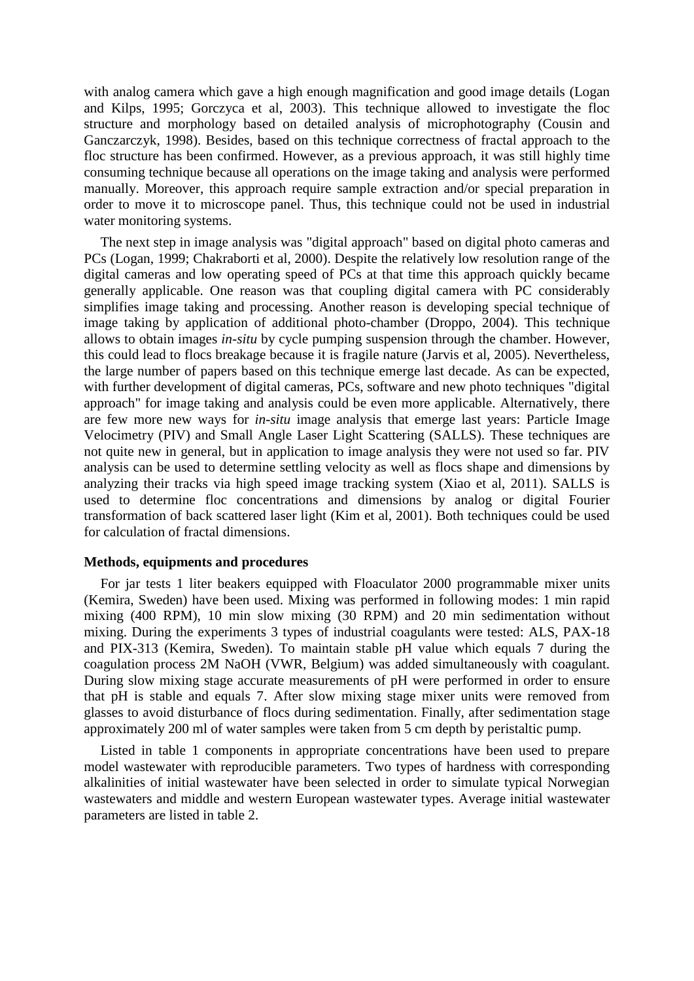with analog camera which gave a high enough magnification and good image details (Logan and Kilps, 1995; Gorczyca et al, 2003). This technique allowed to investigate the floc structure and morphology based on detailed analysis of microphotography (Cousin and Ganczarczyk, 1998). Besides, based on this technique correctness of fractal approach to the floc structure has been confirmed. However, as a previous approach, it was still highly time consuming technique because all operations on the image taking and analysis were performed manually. Moreover, this approach require sample extraction and/or special preparation in order to move it to microscope panel. Thus, this technique could not be used in industrial water monitoring systems.

The next step in image analysis was "digital approach" based on digital photo cameras and PCs (Logan, 1999; Chakraborti et al, 2000). Despite the relatively low resolution range of the digital cameras and low operating speed of PCs at that time this approach quickly became generally applicable. One reason was that coupling digital camera with PC considerably simplifies image taking and processing. Another reason is developing special technique of image taking by application of additional photo-chamber (Droppo, 2004). This technique allows to obtain images *in-situ* by cycle pumping suspension through the chamber. However, this could lead to flocs breakage because it is fragile nature (Jarvis et al, 2005). Nevertheless, the large number of papers based on this technique emerge last decade. As can be expected, with further development of digital cameras, PCs, software and new photo techniques "digital approach" for image taking and analysis could be even more applicable. Alternatively, there are few more new ways for *in-situ* image analysis that emerge last years: Particle Image Velocimetry (PIV) and Small Angle Laser Light Scattering (SALLS). These techniques are not quite new in general, but in application to image analysis they were not used so far. PIV analysis can be used to determine settling velocity as well as flocs shape and dimensions by analyzing their tracks via high speed image tracking system (Xiao et al, 2011). SALLS is used to determine floc concentrations and dimensions by analog or digital Fourier transformation of back scattered laser light (Kim et al, 2001). Both techniques could be used for calculation of fractal dimensions.

#### **Methods, equipments and procedures**

For jar tests 1 liter beakers equipped with Floaculator 2000 programmable mixer units (Kemira, Sweden) have been used. Mixing was performed in following modes: 1 min rapid mixing (400 RPM), 10 min slow mixing (30 RPM) and 20 min sedimentation without mixing. During the experiments 3 types of industrial coagulants were tested: ALS, PAX-18 and PIX-313 (Kemira, Sweden). To maintain stable pH value which equals 7 during the coagulation process 2M NaOH (VWR, Belgium) was added simultaneously with coagulant. During slow mixing stage accurate measurements of pH were performed in order to ensure that pH is stable and equals 7. After slow mixing stage mixer units were removed from glasses to avoid disturbance of flocs during sedimentation. Finally, after sedimentation stage approximately 200 ml of water samples were taken from 5 cm depth by peristaltic pump.

Listed in table 1 components in appropriate concentrations have been used to prepare model wastewater with reproducible parameters. Two types of hardness with corresponding alkalinities of initial wastewater have been selected in order to simulate typical Norwegian wastewaters and middle and western European wastewater types. Average initial wastewater parameters are listed in table 2.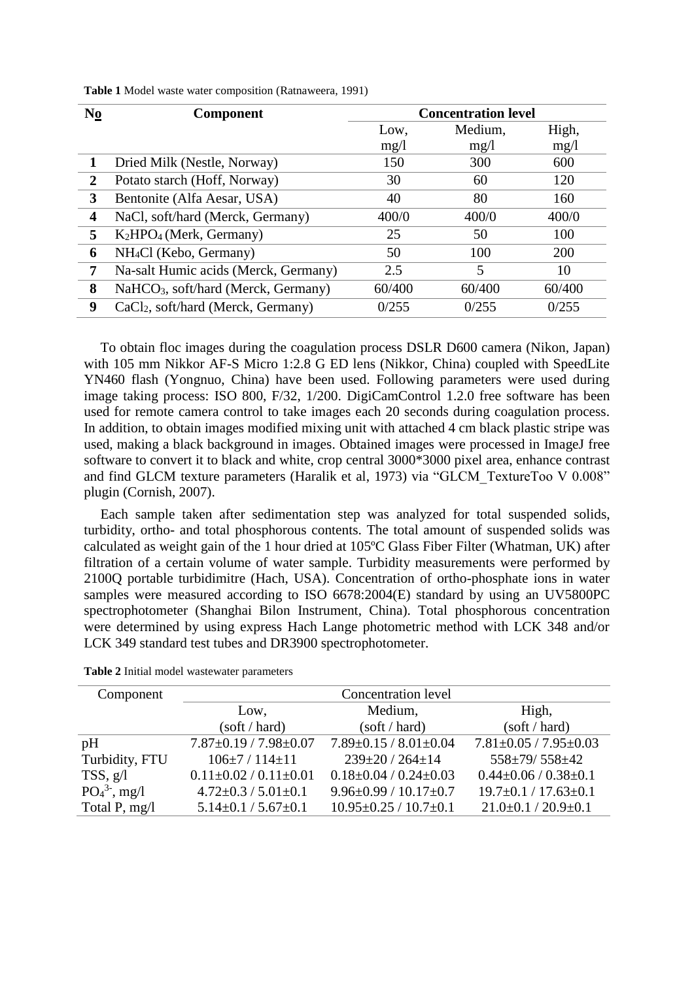| N <sub>0</sub> | <b>Component</b>                                | <b>Concentration level</b> |         |        |
|----------------|-------------------------------------------------|----------------------------|---------|--------|
|                |                                                 | Low,                       | Medium, | High,  |
|                |                                                 | mg/1                       | mg/1    | mg/1   |
|                | Dried Milk (Nestle, Norway)                     | 150                        | 300     | 600    |
| $\overline{2}$ | Potato starch (Hoff, Norway)                    | 30                         | 60      | 120    |
| 3              | Bentonite (Alfa Aesar, USA)                     | 40                         | 80      | 160    |
| 4              | NaCl, soft/hard (Merck, Germany)                | 400/0                      | 400/0   | 400/0  |
| 5              | $K_2HPO_4$ (Merk, Germany)                      | 25                         | 50      | 100    |
| 6              | NH <sub>4</sub> Cl (Kebo, Germany)              | 50                         | 100     | 200    |
| 7              | Na-salt Humic acids (Merck, Germany)            | 2.5                        | 5       | 10     |
| 8              | NaHCO <sub>3</sub> , soft/hard (Merck, Germany) | 60/400                     | 60/400  | 60/400 |
| 9              | CaCl <sub>2</sub> , soft/hard (Merck, Germany)  | 0/255                      | 0/255   | 0/255  |

**Table 1** Model waste water composition (Ratnaweera, 1991)

To obtain floc images during the coagulation process DSLR D600 camera (Nikon, Japan) with 105 mm Nikkor AF-S Micro 1:2.8 G ED lens (Nikkor, China) coupled with SpeedLite YN460 flash (Yongnuo, China) have been used. Following parameters were used during image taking process: ISO 800, F/32, 1/200. DigiCamControl 1.2.0 free software has been used for remote camera control to take images each 20 seconds during coagulation process. In addition, to obtain images modified mixing unit with attached 4 cm black plastic stripe was used, making a black background in images. Obtained images were processed in ImageJ free software to convert it to black and white, crop central 3000\*3000 pixel area, enhance contrast and find GLCM texture parameters (Haralik et al, 1973) via "GLCM\_TextureToo V 0.008" plugin (Cornish, 2007).

Each sample taken after sedimentation step was analyzed for total suspended solids, turbidity, ortho- and total phosphorous contents. The total amount of suspended solids was calculated as weight gain of the 1 hour dried at 105ºC Glass Fiber Filter (Whatman, UK) after filtration of a certain volume of water sample. Turbidity measurements were performed by 2100Q portable turbidimitre (Hach, USA). Concentration of ortho-phosphate ions in water samples were measured according to ISO 6678:2004(E) standard by using an UV5800PC spectrophotometer (Shanghai Bilon Instrument, China). Total phosphorous concentration were determined by using express Hach Lange photometric method with LCK 348 and/or LCK 349 standard test tubes and DR3900 spectrophotometer.

| Component       | <b>Concentration level</b>      |                                 |                                 |  |
|-----------------|---------------------------------|---------------------------------|---------------------------------|--|
|                 | Low,                            | Medium,                         | High,                           |  |
|                 | (soft / hard)                   | (soft / hard)                   | (soft / hard)                   |  |
| pH              | $7.87 \pm 0.19 / 7.98 \pm 0.07$ | $7.89 \pm 0.15 / 8.01 \pm 0.04$ | $7.81 \pm 0.05 / 7.95 \pm 0.03$ |  |
| Turbidity, FTU  | $106\pm7/114\pm11$              | $239 \pm 20 / 264 \pm 14$       | 558±79/558±42                   |  |
| TSS, g/l        | $0.11 \pm 0.02 / 0.11 \pm 0.01$ | $0.18 \pm 0.04 / 0.24 \pm 0.03$ | $0.44 \pm 0.06 / 0.38 \pm 0.1$  |  |
| $PO_4^3$ , mg/l | $4.72 \pm 0.3 / 5.01 \pm 0.1$   | $9.96\pm0.99/10.17\pm0.7$       | $19.7 \pm 0.1 / 17.63 \pm 0.1$  |  |
| Total P, mg/l   | $5.14 \pm 0.1 / 5.67 \pm 0.1$   | $10.95 \pm 0.25 / 10.7 \pm 0.1$ | $21.0\pm0.1/20.9\pm0.1$         |  |

**Table 2** Initial model wastewater parameters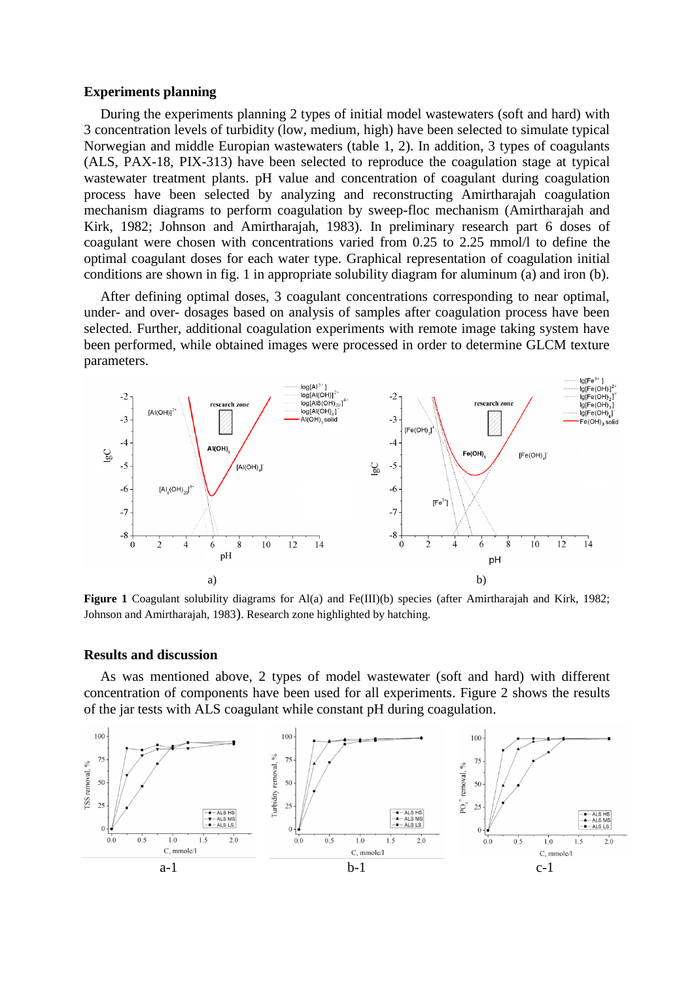#### **Experiments planning**

During the experiments planning 2 types of initial model wastewaters (soft and hard) with 3 concentration levels of turbidity (low, medium, high) have been selected to simulate typical Norwegian and middle Europian wastewaters (table 1, 2). In addition, 3 types of coagulants (ALS, PAX-18, PIX-313) have been selected to reproduce the coagulation stage at typical wastewater treatment plants. pH value and concentration of coagulant during coagulation process have been selected by analyzing and reconstructing Amirtharajah coagulation mechanism diagrams to perform coagulation by sweep-floc mechanism (Amirtharajah and Kirk, 1982; Johnson and Amirtharajah, 1983). In preliminary research part 6 doses of coagulant were chosen with concentrations varied from 0.25 to 2.25 mmol/l to define the optimal coagulant doses for each water type. Graphical representation of coagulation initial conditions are shown in fig. 1 in appropriate solubility diagram for aluminum (a) and iron (b).

After defining optimal doses, 3 coagulant concentrations corresponding to near optimal, under- and over- dosages based on analysis of samples after coagulation process have been selected. Further, additional coagulation experiments with remote image taking system have been performed, while obtained images were processed in order to determine GLCM texture parameters.



Figure 1 Coagulant solubility diagrams for Al(a) and Fe(III)(b) species (after Amirtharajah and Kirk, 1982; Johnson and Amirtharajah, 1983). Research zone highlighted by hatching.

#### **Results and discussion**

As was mentioned above, 2 types of model wastewater (soft and hard) with different concentration of components have been used for all experiments. Figure 2 shows the results of the jar tests with ALS coagulant while constant pH during coagulation.

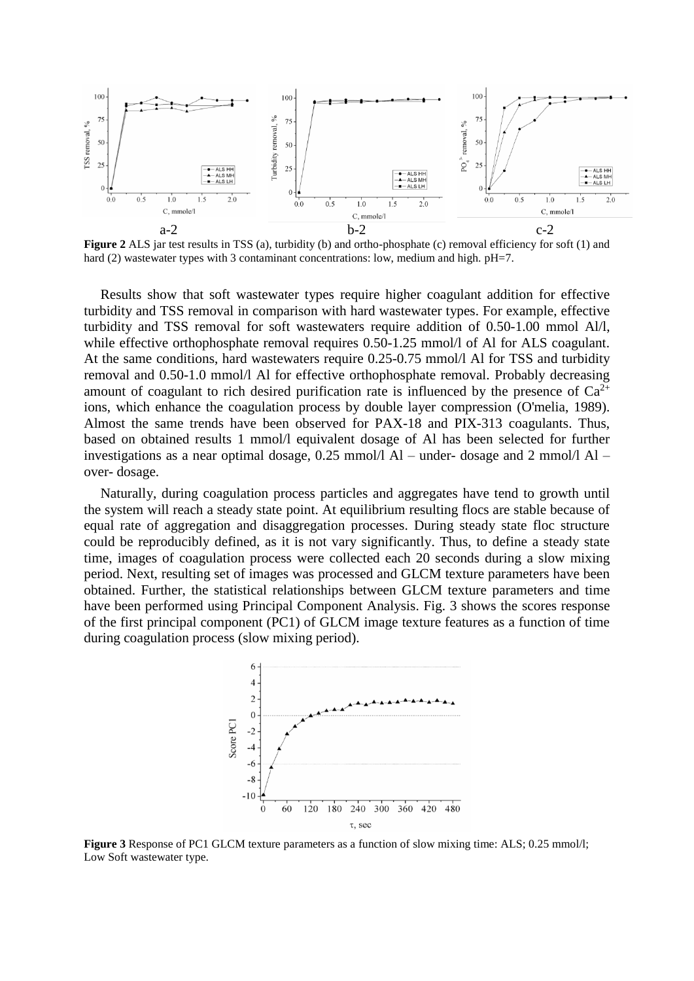

**Figure 2** ALS jar test results in TSS (a), turbidity (b) and ortho-phosphate (c) removal efficiency for soft (1) and hard (2) wastewater types with 3 contaminant concentrations: low, medium and high. pH=7.

Results show that soft wastewater types require higher coagulant addition for effective turbidity and TSS removal in comparison with hard wastewater types. For example, effective turbidity and TSS removal for soft wastewaters require addition of 0.50-1.00 mmol Al/l, while effective orthophosphate removal requires 0.50-1.25 mmol/l of Al for ALS coagulant. At the same conditions, hard wastewaters require 0.25-0.75 mmol/l Al for TSS and turbidity removal and 0.50-1.0 mmol/l Al for effective orthophosphate removal. Probably decreasing amount of coagulant to rich desired purification rate is influenced by the presence of  $Ca^{2+}$ ions, which enhance the coagulation process by double layer compression (O'melia, 1989). Almost the same trends have been observed for PAX-18 and PIX-313 coagulants. Thus, based on obtained results 1 mmol/l equivalent dosage of Al has been selected for further investigations as a near optimal dosage, 0.25 mmol/l Al – under- dosage and 2 mmol/l Al – over- dosage.

Naturally, during coagulation process particles and aggregates have tend to growth until the system will reach a steady state point. At equilibrium resulting flocs are stable because of equal rate of aggregation and disaggregation processes. During steady state floc structure could be reproducibly defined, as it is not vary significantly. Thus, to define a steady state time, images of coagulation process were collected each 20 seconds during a slow mixing period. Next, resulting set of images was processed and GLCM texture parameters have been obtained. Further, the statistical relationships between GLCM texture parameters and time have been performed using Principal Component Analysis. Fig. 3 shows the scores response of the first principal component (PC1) of GLCM image texture features as a function of time during coagulation process (slow mixing period).



**Figure 3** Response of PC1 GLCM texture parameters as a function of slow mixing time: ALS; 0.25 mmol/l; Low Soft wastewater type.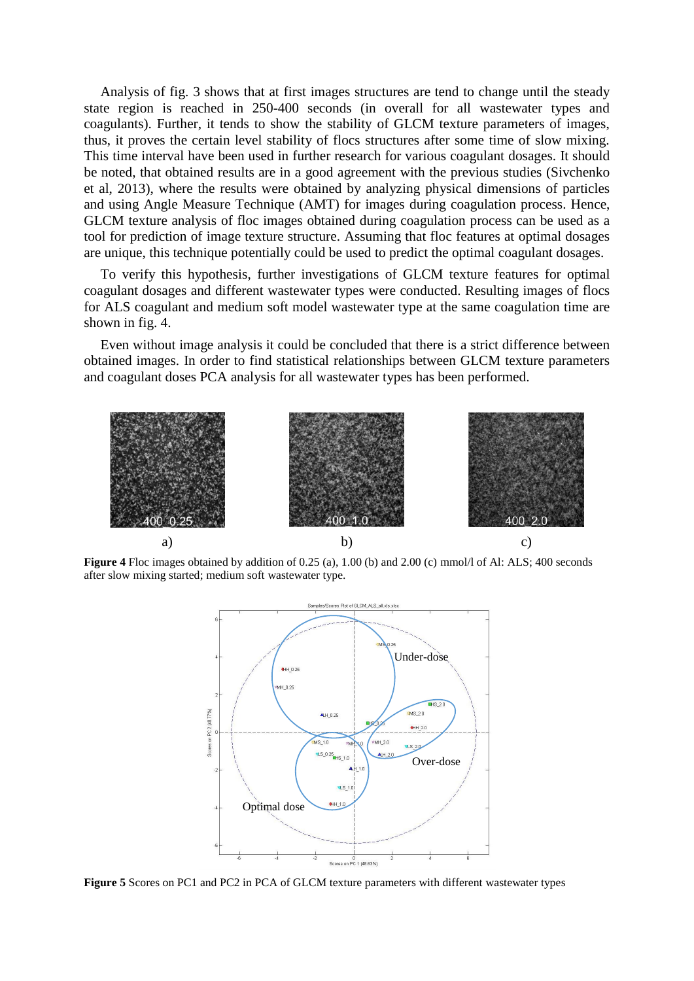Analysis of fig. 3 shows that at first images structures are tend to change until the steady state region is reached in 250-400 seconds (in overall for all wastewater types and coagulants). Further, it tends to show the stability of GLCM texture parameters of images, thus, it proves the certain level stability of flocs structures after some time of slow mixing. This time interval have been used in further research for various coagulant dosages. It should be noted, that obtained results are in a good agreement with the previous studies (Sivchenko et al, 2013), where the results were obtained by analyzing physical dimensions of particles and using Angle Measure Technique (AMT) for images during coagulation process. Hence, GLCM texture analysis of floc images obtained during coagulation process can be used as a tool for prediction of image texture structure. Assuming that floc features at optimal dosages are unique, this technique potentially could be used to predict the optimal coagulant dosages.

To verify this hypothesis, further investigations of GLCM texture features for optimal coagulant dosages and different wastewater types were conducted. Resulting images of flocs for ALS coagulant and medium soft model wastewater type at the same coagulation time are shown in fig. 4.

Even without image analysis it could be concluded that there is a strict difference between obtained images. In order to find statistical relationships between GLCM texture parameters and coagulant doses PCA analysis for all wastewater types has been performed.



**Figure 4** Floc images obtained by addition of 0.25 (a), 1.00 (b) and 2.00 (c) mmol/l of Al: ALS; 400 seconds after slow mixing started; medium soft wastewater type.



**Figure 5** Scores on PC1 and PC2 in PCA of GLCM texture parameters with different wastewater types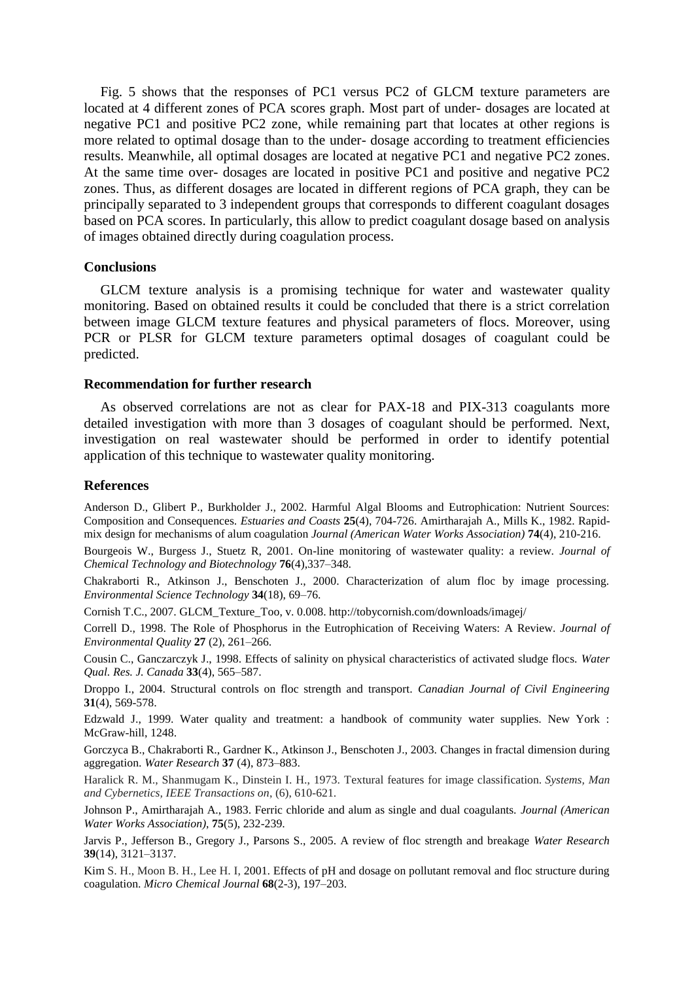Fig. 5 shows that the responses of PC1 versus PC2 of GLCM texture parameters are located at 4 different zones of PCA scores graph. Most part of under- dosages are located at negative PC1 and positive PC2 zone, while remaining part that locates at other regions is more related to optimal dosage than to the under- dosage according to treatment efficiencies results. Meanwhile, all optimal dosages are located at negative PC1 and negative PC2 zones. At the same time over- dosages are located in positive PC1 and positive and negative PC2 zones. Thus, as different dosages are located in different regions of PCA graph, they can be principally separated to 3 independent groups that corresponds to different coagulant dosages based on PCA scores. In particularly, this allow to predict coagulant dosage based on analysis of images obtained directly during coagulation process.

### **Conclusions**

GLCM texture analysis is a promising technique for water and wastewater quality monitoring. Based on obtained results it could be concluded that there is a strict correlation between image GLCM texture features and physical parameters of flocs. Moreover, using PCR or PLSR for GLCM texture parameters optimal dosages of coagulant could be predicted.

#### **Recommendation for further research**

As observed correlations are not as clear for PAX-18 and PIX-313 coagulants more detailed investigation with more than 3 dosages of coagulant should be performed. Next, investigation on real wastewater should be performed in order to identify potential application of this technique to wastewater quality monitoring.

### **References**

Anderson D., Glibert P., Burkholder J., 2002. Harmful Algal Blooms and Eutrophication: Nutrient Sources: Composition and Consequences. *Estuaries and Coasts* **25**(4), 704-726. Amirtharajah A., Mills K., 1982. Rapidmix design for mechanisms of alum coagulation *Journal (American Water Works Association)* **74**(4), 210-216.

Bourgeois W., Burgess J., Stuetz R, 2001. On-line monitoring of wastewater quality: a review. *Journal of Chemical Technology and Biotechnology* **76**(4),337–348.

Chakraborti R., Atkinson J., Benschoten J., 2000. Characterization of alum floc by image processing. *Environmental Science Technology* **34**(18), 69–76.

Cornish T.C., 2007. GLCM\_Texture\_Too, v. 0.008. http://tobycornish.com/downloads/imagej/

Correll D., 1998. The Role of Phosphorus in the Eutrophication of Receiving Waters: A Review. *Journal of Environmental Quality* **27** (2), 261–266.

Cousin C., Ganczarczyk J., 1998. Effects of salinity on physical characteristics of activated sludge flocs. *Water Qual. Res. J. Canada* **33**(4), 565–587.

Droppo I., 2004. Structural controls on floc strength and transport. *Canadian Journal of Civil Engineering* **31**(4), 569-578.

Edzwald J., 1999. Water quality and treatment: a handbook of community water supplies. New York : McGraw-hill, 1248.

Gorczyca B., Chakraborti R., Gardner K., Atkinson J., Benschoten J., 2003. Changes in fractal dimension during aggregation. *Water Research* **37** (4), 873–883.

Haralick R. M., Shanmugam K., Dinstein I. H., 1973. Textural features for image classification. *Systems, Man and Cybernetics, IEEE Transactions on*, (6), 610-621.

Johnson P., Amirtharajah A., 1983. Ferric chloride and alum as single and dual coagulants. *Journal (American Water Works Association)*, **75**(5), 232-239.

Jarvis P., Jefferson B., Gregory J., Parsons S., 2005. A review of floc strength and breakage *Water Research* **39**(14), 3121–3137.

Kim S. H., Moon B. H., Lee H. I, 2001. Effects of pH and dosage on pollutant removal and floc structure during coagulation. *Micro Chemical Journal* **68**(2-3), 197–203.